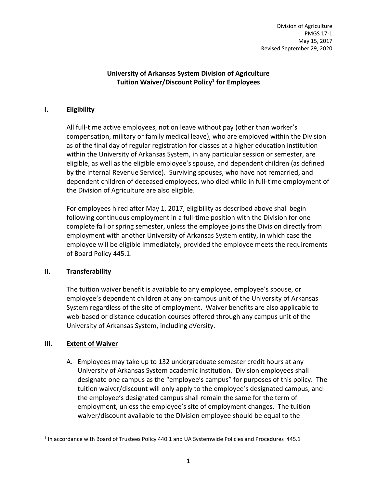Division of Agriculture PMGS 17-1 May 15, 2017 Revised September 29, 2020

## **University of Arkansas System Division of Agriculture Tuition Waiver/Discount Policy<sup>1</sup> for Employees**

## **I. Eligibility**

All full-time active employees, not on leave without pay (other than worker's compensation, military or family medical leave), who are employed within the Division as of the final day of regular registration for classes at a higher education institution within the University of Arkansas System, in any particular session or semester, are eligible, as well as the eligible employee's spouse, and dependent children (as defined by the Internal Revenue Service). Surviving spouses, who have not remarried, and dependent children of deceased employees, who died while in full-time employment of the Division of Agriculture are also eligible.

For employees hired after May 1, 2017, eligibility as described above shall begin following continuous employment in a full-time position with the Division for one complete fall or spring semester, unless the employee joins the Division directly from employment with another University of Arkansas System entity, in which case the employee will be eligible immediately, provided the employee meets the requirements of Board Policy 445.1.

## **II. Transferability**

The tuition waiver benefit is available to any employee, employee's spouse, or employee's dependent children at any on-campus unit of the University of Arkansas System regardless of the site of employment. Waiver benefits are also applicable to web-based or distance education courses offered through any campus unit of the University of Arkansas System, including *e*Versity.

## **III. Extent of Waiver**

 $\overline{\phantom{a}}$ 

A. Employees may take up to 132 undergraduate semester credit hours at any University of Arkansas System academic institution. Division employees shall designate one campus as the "employee's campus" for purposes of this policy. The tuition waiver/discount will only apply to the employee's designated campus, and the employee's designated campus shall remain the same for the term of employment, unless the employee's site of employment changes. The tuition waiver/discount available to the Division employee should be equal to the

 $<sup>1</sup>$  In accordance with Board of Trustees Policy 440.1 and UA Systemwide Policies and Procedures 445.1</sup>